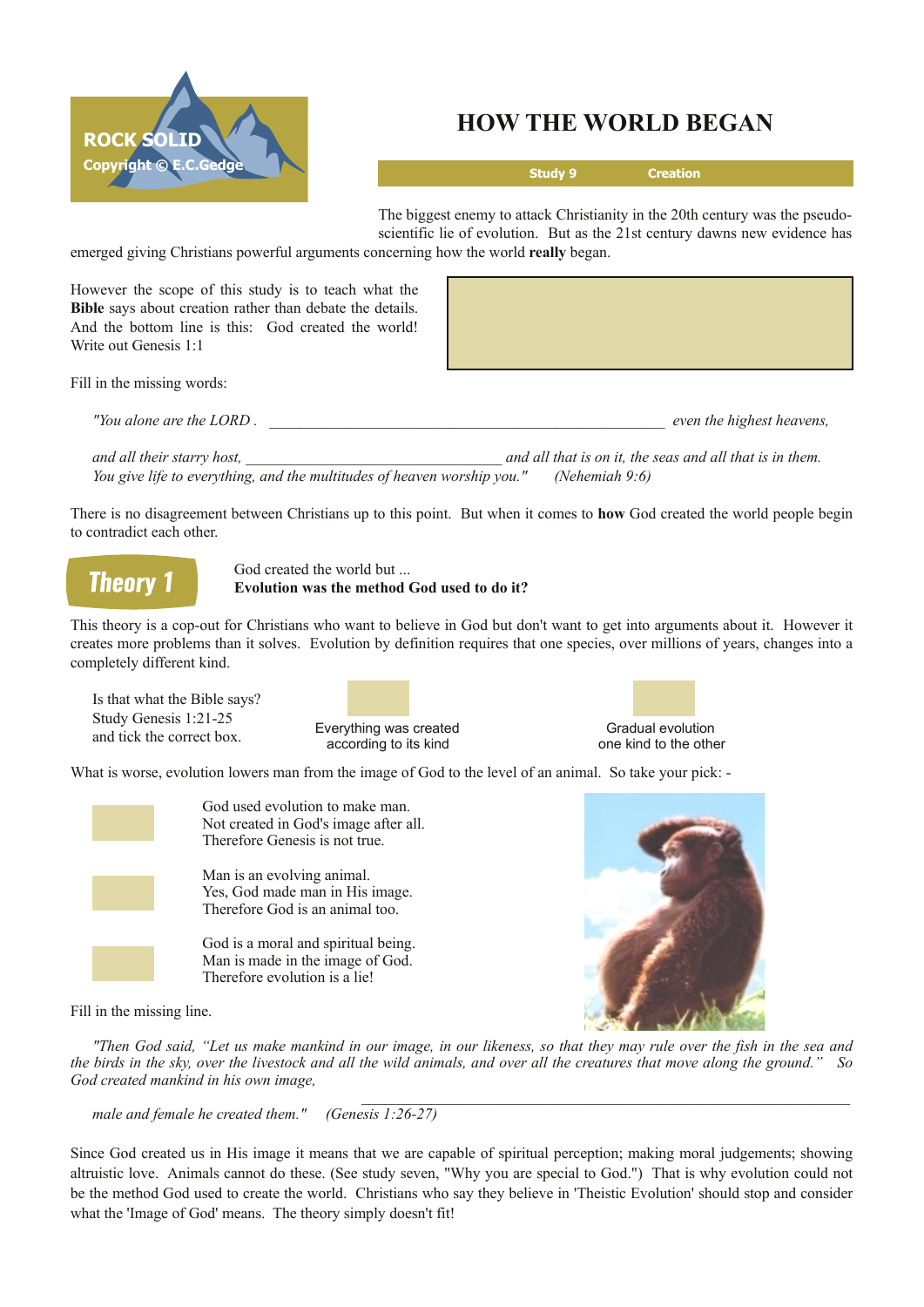

## **HOW THE WORLD BEGAN**

**Study 9 Creation**

The biggest enemy to attack Christianity in the 20th century was the pseudoscientific lie of evolution. But as the 21st century dawns new evidence has emerged giving Christians powerful arguments concerning how the world **really** began.

However the scope of this study is to teach what the **Bible** says about creation rather than debate the details. And the bottom line is this: God created the world! Write out Genesis 1:1

Fill in the missing words:

*"You alone are the LORD . \_\_\_\_\_\_\_\_\_\_\_\_\_\_\_\_\_\_\_\_\_\_\_\_\_\_\_\_\_\_\_\_\_\_\_\_\_\_\_\_\_\_\_\_\_\_\_\_\_\_\_ even the highest heavens,*

and all their starry host. The seasure of the seasure of the seasure of the seasure of the seasure of the seasure of the seasure of the seasure of the seasure of the seasure of the seasure of the seasure of the seasure of *You give life to everything, and the multitudes of heaven worship you." (Nehemiah 9:6)*

There is no disagreement between Christians up to this point. But when it comes to **how** God created the world people begin to contradict each other.

**Theory 1** 

God created the world but ... **Evolution was the method God used to do it?**

This theory is a cop-out for Christians who want to believe in God but don't want to get into arguments about it. However it creates more problems than it solves. Evolution by definition requires that one species, over millions of years, changes into a completely different kind.

Is that what the Bible says? Study Genesis 1:21-25 and tick the correct box.

Everything was created Gradual evolution<br>
according to its kind<br>
according to its kind<br>
Gradual evolution<br>
Conservation<br>
Conservation<br>
Conservation<br>
Conservation<br>
Conservation<br>
Conservation<br>
Conservation<br>
Conservation<br>
Con according to its kind



What is worse, evolution lowers man from the image of God to the level of an animal. So take your pick: -



God used evolution to make man. Not created in God's image after all. Therefore Genesis is not true.

Man is an evolving animal. Yes, God made man in His image. Therefore God is an animal too.

God is a moral and spiritual being. Man is made in the image of God. Therefore evolution is a lie!



 $\mathcal{L}_\mathcal{L} = \{ \mathcal{L}_\mathcal{L} = \{ \mathcal{L}_\mathcal{L} = \{ \mathcal{L}_\mathcal{L} = \{ \mathcal{L}_\mathcal{L} = \{ \mathcal{L}_\mathcal{L} = \{ \mathcal{L}_\mathcal{L} = \{ \mathcal{L}_\mathcal{L} = \{ \mathcal{L}_\mathcal{L} = \{ \mathcal{L}_\mathcal{L} = \{ \mathcal{L}_\mathcal{L} = \{ \mathcal{L}_\mathcal{L} = \{ \mathcal{L}_\mathcal{L} = \{ \mathcal{L}_\mathcal{L} = \{ \mathcal{L}_\mathcal{$ 

Fill in the missing line.

"Then God said, "Let us make mankind in our image, in our likeness, so that they may rule over the fish in the sea and the birds in the sky, over the livestock and all the wild animals, and over all the creatures that move along the ground." So *God created mankind in his own image,*

*male and female he created them." (Genesis 1:2627)*

Since God created us in His image it means that we are capable of spiritual perception; making moral judgements; showing altruistic love. Animals cannot do these. (See study seven, "Why you are special to God.") That is why evolution could not be the method God used to create the world. Christians who say they believe in 'Theistic Evolution' should stop and consider what the 'Image of God' means. The theory simply doesn't fit!